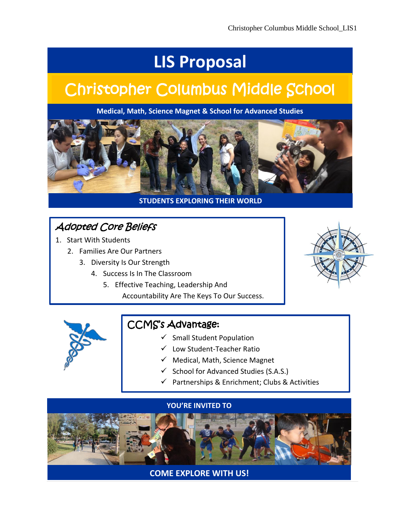# **LIS Proposal**

# Christopher Columbus Middle School

**Medical, Math, Science Magnet & School for Advanced Studies**



#### **STUDENTS EXPLORING THEIR WORLD**

# Adopted Core Beliefs

- 1. Start With Students
	- 2. Families Are Our Partners
		- 3. Diversity Is Our Strength
			- 4. Success Is In The Classroom
				- 5. Effective Teaching, Leadership And Accountability Are The Keys To Our Success.





# CCMS's Advantage:

- $\checkmark$  Small Student Population
- Low Student-Teacher Ratio
- $\checkmark$  Medical, Math, Science Magnet
- $\checkmark$  School for Advanced Studies (S.A.S.)
- $\checkmark$  Partnerships & Enrichment; Clubs & Activities



**COME EXPLORE WITH US!**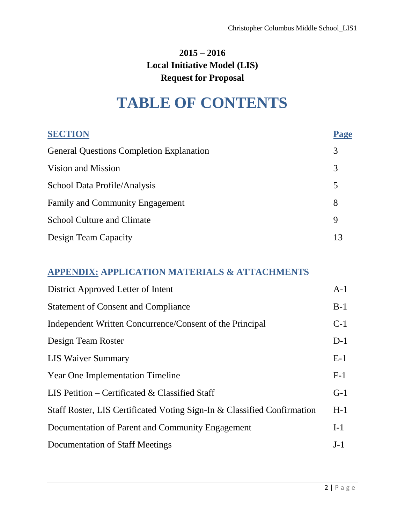# **2015 – 2016 Local Initiative Model (LIS) Request for Proposal**

# **TABLE OF CONTENTS**

| <b>SECTION</b>                                  | Page |
|-------------------------------------------------|------|
| <b>General Questions Completion Explanation</b> | 3    |
| Vision and Mission                              | 3    |
| School Data Profile/Analysis                    | 5    |
| Family and Community Engagement                 | 8    |
| <b>School Culture and Climate</b>               | 9    |
| Design Team Capacity                            | 13   |

## **APPENDIX: APPLICATION MATERIALS & ATTACHMENTS**

| District Approved Letter of Intent                                      | $A-1$ |
|-------------------------------------------------------------------------|-------|
| <b>Statement of Consent and Compliance</b>                              | $B-1$ |
| Independent Written Concurrence/Consent of the Principal                | $C-1$ |
| Design Team Roster                                                      | $D-1$ |
| <b>LIS Waiver Summary</b>                                               | $E-1$ |
| <b>Year One Implementation Timeline</b>                                 | $F-1$ |
| LIS Petition – Certificated & Classified Staff                          | $G-1$ |
| Staff Roster, LIS Certificated Voting Sign-In & Classified Confirmation | $H-1$ |
| Documentation of Parent and Community Engagement                        | $I-1$ |
| Documentation of Staff Meetings                                         | $J-1$ |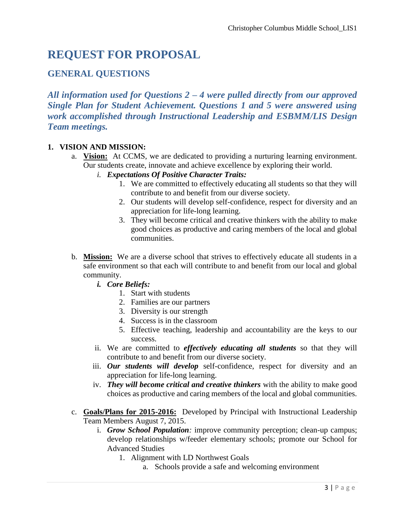# **REQUEST FOR PROPOSAL**

## **GENERAL QUESTIONS**

*All information used for Questions 2 – 4 were pulled directly from our approved Single Plan for Student Achievement. Questions 1 and 5 were answered using work accomplished through Instructional Leadership and ESBMM/LIS Design Team meetings.*

#### **1. VISION AND MISSION:**

- a. **Vision:** At CCMS, we are dedicated to providing a nurturing learning environment. Our students create, innovate and achieve excellence by exploring their world.
	- *i. Expectations Of Positive Character Traits:*
		- 1. We are committed to effectively educating all students so that they will contribute to and benefit from our diverse society.
		- 2. Our students will develop self-confidence, respect for diversity and an appreciation for life-long learning.
		- 3. They will become critical and creative thinkers with the ability to make good choices as productive and caring members of the local and global communities.
- b. **Mission:** We are a diverse school that strives to effectively educate all students in a safe environment so that each will contribute to and benefit from our local and global community.
	- *i. Core Beliefs:*
		- 1. Start with students
		- 2. Families are our partners
		- 3. Diversity is our strength
		- 4. Success is in the classroom
		- 5. Effective teaching, leadership and accountability are the keys to our success.
	- ii. We are committed to *effectively educating all students* so that they will contribute to and benefit from our diverse society.
	- iii. *Our students will develop* self-confidence, respect for diversity and an appreciation for life-long learning.
	- iv. *They will become critical and creative thinkers* with the ability to make good choices as productive and caring members of the local and global communities.
- c. **Goals/Plans for 2015-2016:** Developed by Principal with Instructional Leadership Team Members August 7, 2015.
	- i. *Grow School Population:* improve community perception; clean-up campus; develop relationships w/feeder elementary schools; promote our School for Advanced Studies
		- 1. Alignment with LD Northwest Goals
			- a. Schools provide a safe and welcoming environment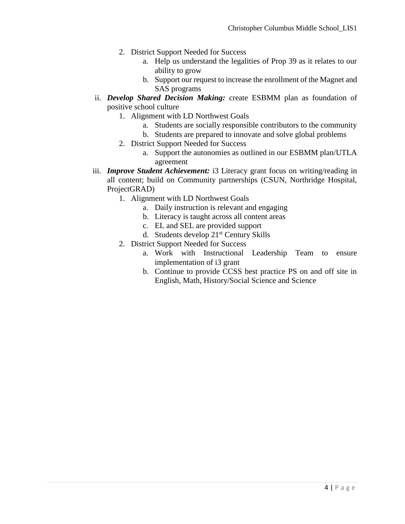- 2. District Support Needed for Success
	- a. Help us understand the legalities of Prop 39 as it relates to our ability to grow
	- b. Support our request to increase the enrollment of the Magnet and SAS programs
- ii. *Develop Shared Decision Making:* create ESBMM plan as foundation of positive school culture
	- 1. Alignment with LD Northwest Goals
		- a. Students are socially responsible contributors to the community
		- b. Students are prepared to innovate and solve global problems
	- 2. District Support Needed for Success
		- a. Support the autonomies as outlined in our ESBMM plan/UTLA agreement
- iii. *Improve Student Achievement:* i3 Literacy grant focus on writing/reading in all content; build on Community partnerships (CSUN, Northridge Hospital, ProjectGRAD)
	- 1. Alignment with LD Northwest Goals
		- a. Daily instruction is relevant and engaging
		- b. Literacy is taught across all content areas
		- c. EL and SEL are provided support
		- d. Students develop 21st Century Skills
	- 2. District Support Needed for Success
		- a. Work with Instructional Leadership Team to ensure implementation of i3 grant
		- b. Continue to provide CCSS best practice PS on and off site in English, Math, History/Social Science and Science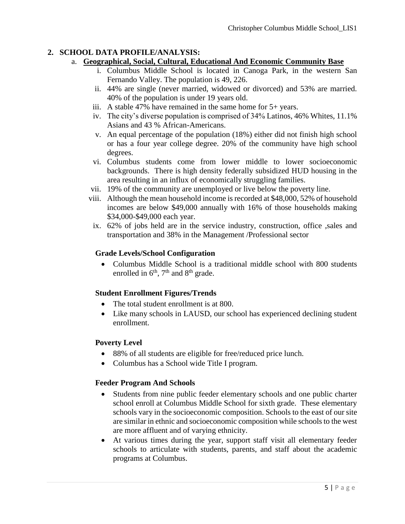### **2. SCHOOL DATA PROFILE/ANALYSIS:**

#### a. **Geographical, Social, Cultural, Educational And Economic Community Base**

- i. Columbus Middle School is located in Canoga Park, in the western San Fernando Valley. The population is 49, 226.
- ii. 44% are single (never married, widowed or divorced) and 53% are married. 40% of the population is under 19 years old.
- iii. A stable 47% have remained in the same home for 5+ years.
- iv. The city's diverse population is comprised of 34% Latinos, 46% Whites, 11.1% Asians and 43 % African-Americans.
- v. An equal percentage of the population (18%) either did not finish high school or has a four year college degree. 20% of the community have high school degrees.
- vi. Columbus students come from lower middle to lower socioeconomic backgrounds. There is high density federally subsidized HUD housing in the area resulting in an influx of economically struggling families.
- vii. 19% of the community are unemployed or live below the poverty line.
- viii. Although the mean household income is recorded at \$48,000, 52% of household incomes are below \$49,000 annually with 16% of those households making \$34,000-\$49,000 each year.
- ix. 62% of jobs held are in the service industry, construction, office ,sales and transportation and 38% in the Management /Professional sector

### **Grade Levels/School Configuration**

 Columbus Middle School is a traditional middle school with 800 students enrolled in  $6<sup>th</sup>$ ,  $7<sup>th</sup>$  and  $8<sup>th</sup>$  grade.

## **Student Enrollment Figures/Trends**

- The total student enrollment is at 800.
- Like many schools in LAUSD, our school has experienced declining student enrollment.

#### **Poverty Level**

- 88% of all students are eligible for free/reduced price lunch.
- Columbus has a School wide Title I program.

#### **Feeder Program And Schools**

- Students from nine public feeder elementary schools and one public charter school enroll at Columbus Middle School for sixth grade. These elementary schools vary in the socioeconomic composition. Schools to the east of our site are similar in ethnic and socioeconomic composition while schools to the west are more affluent and of varying ethnicity.
- At various times during the year, support staff visit all elementary feeder schools to articulate with students, parents, and staff about the academic programs at Columbus.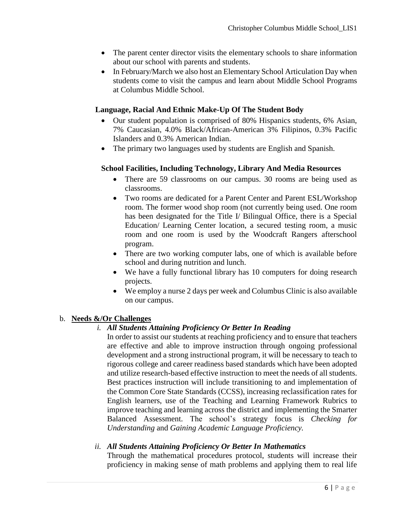- The parent center director visits the elementary schools to share information about our school with parents and students.
- In February/March we also host an Elementary School Articulation Day when students come to visit the campus and learn about Middle School Programs at Columbus Middle School.

### **Language, Racial And Ethnic Make-Up Of The Student Body**

- Our student population is comprised of 80% Hispanics students, 6% Asian, 7% Caucasian, 4.0% Black/African-American 3% Filipinos, 0.3% Pacific Islanders and 0.3% American Indian.
- The primary two languages used by students are English and Spanish.

#### **School Facilities, Including Technology, Library And Media Resources**

- There are 59 classrooms on our campus. 30 rooms are being used as classrooms.
- Two rooms are dedicated for a Parent Center and Parent ESL/Workshop room. The former wood shop room (not currently being used. One room has been designated for the Title I/ Bilingual Office, there is a Special Education/ Learning Center location, a secured testing room, a music room and one room is used by the Woodcraft Rangers afterschool program.
- There are two working computer labs, one of which is available before school and during nutrition and lunch.
- We have a fully functional library has 10 computers for doing research projects.
- We employ a nurse 2 days per week and Columbus Clinic is also available on our campus.

#### b. **Needs &/Or Challenges**

#### *i. All Students Attaining Proficiency Or Better In Reading*

In order to assist our students at reaching proficiency and to ensure that teachers are effective and able to improve instruction through ongoing professional development and a strong instructional program, it will be necessary to teach to rigorous college and career readiness based standards which have been adopted and utilize research-based effective instruction to meet the needs of all students. Best practices instruction will include transitioning to and implementation of the Common Core State Standards (CCSS), increasing reclassification rates for English learners, use of the Teaching and Learning Framework Rubrics to improve teaching and learning across the district and implementing the Smarter Balanced Assessment. The school's strategy focus is *Checking for Understanding* and *Gaining Academic Language Proficiency.*

#### *ii. All Students Attaining Proficiency Or Better In Mathematics*

Through the mathematical procedures protocol, students will increase their proficiency in making sense of math problems and applying them to real life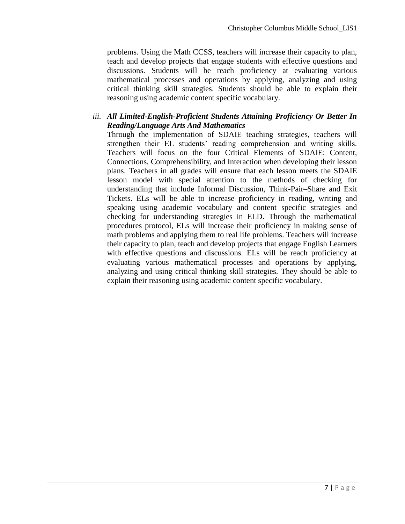problems. Using the Math CCSS, teachers will increase their capacity to plan, teach and develop projects that engage students with effective questions and discussions. Students will be reach proficiency at evaluating various mathematical processes and operations by applying, analyzing and using critical thinking skill strategies. Students should be able to explain their reasoning using academic content specific vocabulary.

#### *iii. All Limited-English-Proficient Students Attaining Proficiency Or Better In Reading/Language Arts And Mathematics*

Through the implementation of SDAIE teaching strategies, teachers will strengthen their EL students' reading comprehension and writing skills. Teachers will focus on the four Critical Elements of SDAIE: Content, Connections, Comprehensibility, and Interaction when developing their lesson plans. Teachers in all grades will ensure that each lesson meets the SDAIE lesson model with special attention to the methods of checking for understanding that include Informal Discussion, Think-Pair–Share and Exit Tickets. ELs will be able to increase proficiency in reading, writing and speaking using academic vocabulary and content specific strategies and checking for understanding strategies in ELD. Through the mathematical procedures protocol, ELs will increase their proficiency in making sense of math problems and applying them to real life problems. Teachers will increase their capacity to plan, teach and develop projects that engage English Learners with effective questions and discussions. ELs will be reach proficiency at evaluating various mathematical processes and operations by applying, analyzing and using critical thinking skill strategies. They should be able to explain their reasoning using academic content specific vocabulary.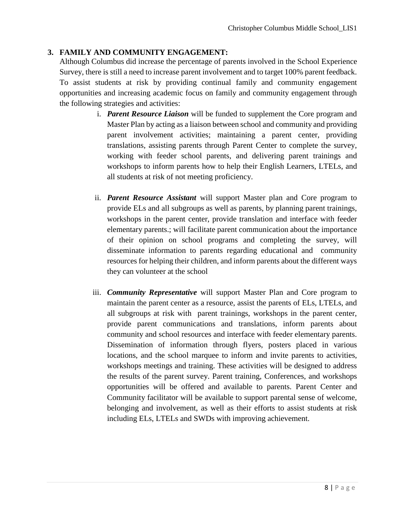#### **3. FAMILY AND COMMUNITY ENGAGEMENT:**

Although Columbus did increase the percentage of parents involved in the School Experience Survey, there is still a need to increase parent involvement and to target 100% parent feedback. To assist students at risk by providing continual family and community engagement opportunities and increasing academic focus on family and community engagement through the following strategies and activities:

- i. *Parent Resource Liaison* will be funded to supplement the Core program and Master Plan by acting as a liaison between school and community and providing parent involvement activities; maintaining a parent center, providing translations, assisting parents through Parent Center to complete the survey, working with feeder school parents, and delivering parent trainings and workshops to inform parents how to help their English Learners, LTELs, and all students at risk of not meeting proficiency.
- ii. *Parent Resource Assistant* will support Master plan and Core program to provide ELs and all subgroups as well as parents, by planning parent trainings, workshops in the parent center, provide translation and interface with feeder elementary parents.; will facilitate parent communication about the importance of their opinion on school programs and completing the survey, will disseminate information to parents regarding educational and community resources for helping their children, and inform parents about the different ways they can volunteer at the school
- iii. *Community Representative* will support Master Plan and Core program to maintain the parent center as a resource, assist the parents of ELs, LTELs, and all subgroups at risk with parent trainings, workshops in the parent center, provide parent communications and translations, inform parents about community and school resources and interface with feeder elementary parents. Dissemination of information through flyers, posters placed in various locations, and the school marquee to inform and invite parents to activities, workshops meetings and training. These activities will be designed to address the results of the parent survey. Parent training, Conferences, and workshops opportunities will be offered and available to parents. Parent Center and Community facilitator will be available to support parental sense of welcome, belonging and involvement, as well as their efforts to assist students at risk including ELs, LTELs and SWDs with improving achievement.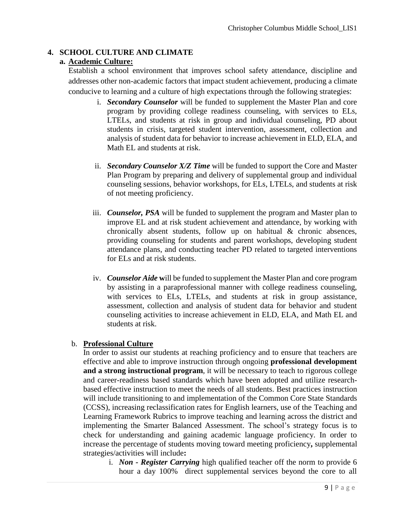#### **4. SCHOOL CULTURE AND CLIMATE**

#### **a. Academic Culture:**

Establish a school environment that improves school safety attendance, discipline and addresses other non-academic factors that impact student achievement, producing a climate conducive to learning and a culture of high expectations through the following strategies:

- i. *Secondary Counselor* will be funded to supplement the Master Plan and core program by providing college readiness counseling, with services to ELs, LTELs, and students at risk in group and individual counseling, PD about students in crisis, targeted student intervention, assessment, collection and analysis of student data for behavior to increase achievement in ELD, ELA, and Math EL and students at risk.
- ii. *Secondary Counselor X/Z Time* will be funded to support the Core and Master Plan Program by preparing and delivery of supplemental group and individual counseling sessions, behavior workshops, for ELs, LTELs, and students at risk of not meeting proficiency.
- iii. *Counselor, PSA* will be funded to supplement the program and Master plan to improve EL and at risk student achievement and attendance, by working with chronically absent students, follow up on habitual & chronic absences, providing counseling for students and parent workshops, developing student attendance plans, and conducting teacher PD related to targeted interventions for ELs and at risk students.
- iv. *Counselor Aide* **w**ill be funded to supplement the Master Plan and core program by assisting in a paraprofessional manner with college readiness counseling, with services to ELs, LTELs, and students at risk in group assistance, assessment, collection and analysis of student data for behavior and student counseling activities to increase achievement in ELD, ELA, and Math EL and students at risk.

#### b. **Professional Culture**

In order to assist our students at reaching proficiency and to ensure that teachers are effective and able to improve instruction through ongoing **professional development and a strong instructional program**, it will be necessary to teach to rigorous college and career-readiness based standards which have been adopted and utilize researchbased effective instruction to meet the needs of all students. Best practices instruction will include transitioning to and implementation of the Common Core State Standards (CCSS), increasing reclassification rates for English learners, use of the Teaching and Learning Framework Rubrics to improve teaching and learning across the district and implementing the Smarter Balanced Assessment. The school's strategy focus is to check for understanding and gaining academic language proficiency. In order to increase the percentage of students moving toward meeting proficiency**,** supplemental strategies/activities will include**:**

i. *Non - Register Carrying* high qualified teacher off the norm to provide 6 hour a day 100% direct supplemental services beyond the core to all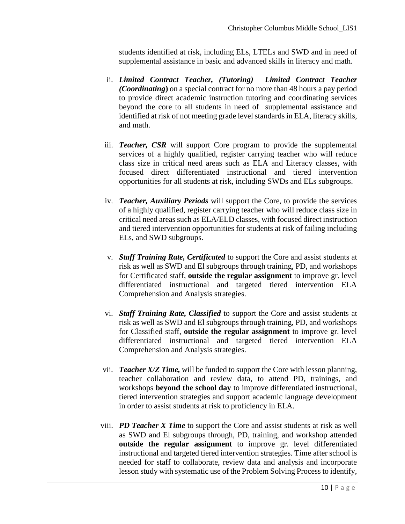students identified at risk, including ELs, LTELs and SWD and in need of supplemental assistance in basic and advanced skills in literacy and math.

- ii. *Limited Contract Teacher, (Tutoring) Limited Contract Teacher (Coordinating***)** on a special contract for no more than 48 hours a pay period to provide direct academic instruction tutoring and coordinating services beyond the core to all students in need of supplemental assistance and identified at risk of not meeting grade level standards in ELA, literacy skills, and math.
- iii. *Teacher, CSR* will support Core program to provide the supplemental services of a highly qualified, register carrying teacher who will reduce class size in critical need areas such as ELA and Literacy classes, with focused direct differentiated instructional and tiered intervention opportunities for all students at risk, including SWDs and ELs subgroups.
- iv. *Teacher, Auxiliary Periods* will support the Core, to provide the services of a highly qualified, register carrying teacher who will reduce class size in critical need areas such as ELA/ELD classes, with focused direct instruction and tiered intervention opportunities for students at risk of failing including ELs, and SWD subgroups.
- v. *Staff Training Rate, Certificated* to support the Core and assist students at risk as well as SWD and El subgroups through training, PD, and workshops for Certificated staff, **outside the regular assignment** to improve gr. level differentiated instructional and targeted tiered intervention ELA Comprehension and Analysis strategies.
- vi. *Staff Training Rate, Classified* to support the Core and assist students at risk as well as SWD and El subgroups through training, PD, and workshops for Classified staff, **outside the regular assignment** to improve gr. level differentiated instructional and targeted tiered intervention ELA Comprehension and Analysis strategies.
- vii. *Teacher X/Z Time,* will be funded to support the Core with lesson planning, teacher collaboration and review data, to attend PD, trainings, and workshops **beyond the school day** to improve differentiated instructional, tiered intervention strategies and support academic language development in order to assist students at risk to proficiency in ELA.
- viii. *PD Teacher X Time* to support the Core and assist students at risk as well as SWD and El subgroups through, PD, training, and workshop attended **outside the regular assignment** to improve gr. level differentiated instructional and targeted tiered intervention strategies. Time after school is needed for staff to collaborate, review data and analysis and incorporate lesson study with systematic use of the Problem Solving Process to identify,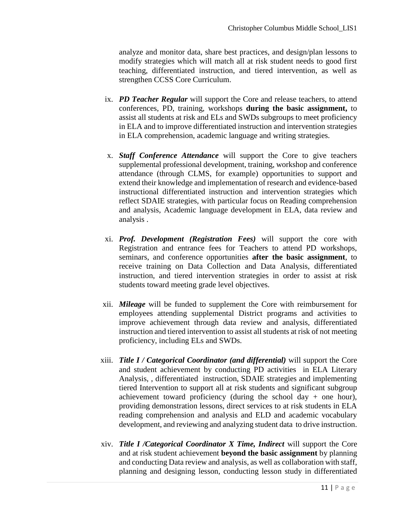analyze and monitor data, share best practices, and design/plan lessons to modify strategies which will match all at risk student needs to good first teaching, differentiated instruction, and tiered intervention, as well as strengthen CCSS Core Curriculum.

- ix. *PD Teacher Regular* will support the Core and release teachers, to attend conferences, PD, training, workshops **during the basic assignment,** to assist all students at risk and ELs and SWDs subgroups to meet proficiency in ELA and to improve differentiated instruction and intervention strategies in ELA comprehension, academic language and writing strategies.
- x. *Staff Conference Attendance* will support the Core to give teachers supplemental professional development, training, workshop and conference attendance (through CLMS, for example) opportunities to support and extend their knowledge and implementation of research and evidence-based instructional differentiated instruction and intervention strategies which reflect SDAIE strategies, with particular focus on Reading comprehension and analysis, Academic language development in ELA, data review and analysis .
- xi. *Prof. Development (Registration Fees)* will support the core with Registration and entrance fees for Teachers to attend PD workshops, seminars, and conference opportunities **after the basic assignment**, to receive training on Data Collection and Data Analysis, differentiated instruction, and tiered intervention strategies in order to assist at risk students toward meeting grade level objectives.
- xii. *Mileage* will be funded to supplement the Core with reimbursement for employees attending supplemental District programs and activities to improve achievement through data review and analysis, differentiated instruction and tiered intervention to assist all students at risk of not meeting proficiency, including ELs and SWDs.
- xiii. *Title I / Categorical Coordinator (and differential)* will support the Core and student achievement by conducting PD activities in ELA Literary Analysis, , differentiated instruction, SDAIE strategies and implementing tiered Intervention to support all at risk students and significant subgroup achievement toward proficiency (during the school day  $+$  one hour), providing demonstration lessons, direct services to at risk students in ELA reading comprehension and analysis and ELD and academic vocabulary development, and reviewing and analyzing student data to drive instruction.
- xiv. *Title I /Categorical Coordinator X Time, Indirect* will support the Core and at risk student achievement **beyond the basic assignment** by planning and conducting Data review and analysis, as well as collaboration with staff, planning and designing lesson, conducting lesson study in differentiated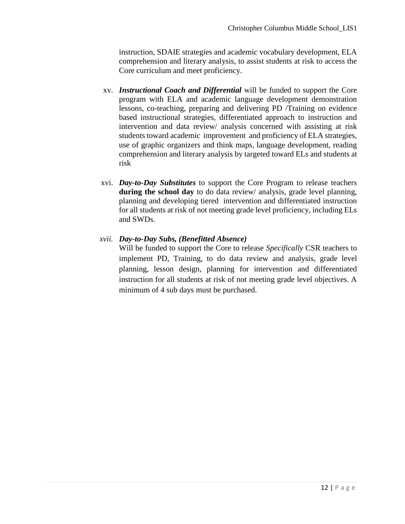instruction, SDAIE strategies and academic vocabulary development, ELA comprehension and literary analysis, to assist students at risk to access the Core curriculum and meet proficiency.

- xv. *Instructional Coach and Differential* will be funded to support the Core program with ELA and academic language development demonstration lessons, co-teaching, preparing and delivering PD /Training on evidence based instructional strategies, differentiated approach to instruction and intervention and data review/ analysis concerned with assisting at risk students toward academic improvement and proficiency of ELA strategies, use of graphic organizers and think maps, language development, reading comprehension and literary analysis by targeted toward ELs and students at risk
- xvi. *Day-to-Day Substitutes* to support the Core Program to release teachers **during the school day** to do data review/ analysis, grade level planning, planning and developing tiered intervention and differentiated instruction for all students at risk of not meeting grade level proficiency, including ELs and SWDs.

#### *xvii. Day-to-Day Subs, (Benefitted Absence)*

Will be funded to support the Core to release *Specifically* CSR teachers to implement PD, Training, to do data review and analysis, grade level planning, lesson design, planning for intervention and differentiated instruction for all students at risk of not meeting grade level objectives. A minimum of 4 sub days must be purchased.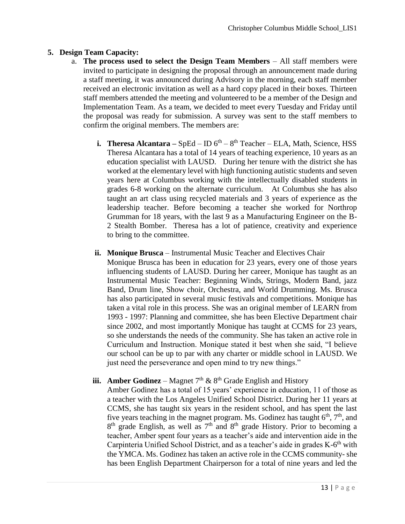#### **5. Design Team Capacity:**

- a. **The process used to select the Design Team Members**  All staff members were invited to participate in designing the proposal through an announcement made during a staff meeting, it was announced during Advisory in the morning, each staff member received an electronic invitation as well as a hard copy placed in their boxes. Thirteen staff members attended the meeting and volunteered to be a member of the Design and Implementation Team. As a team, we decided to meet every Tuesday and Friday until the proposal was ready for submission. A survey was sent to the staff members to confirm the original members. The members are:
	- **i. Theresa Alcantara** SpEd ID 6<sup>th</sup> 8<sup>th</sup> Teacher ELA, Math, Science, HSS Theresa Alcantara has a total of 14 years of teaching experience, 10 years as an education specialist with LAUSD. During her tenure with the district she has worked at the elementary level with high functioning autistic students and seven years here at Columbus working with the intellectually disabled students in grades 6-8 working on the alternate curriculum. At Columbus she has also taught an art class using recycled materials and 3 years of experience as the leadership teacher. Before becoming a teacher she worked for Northrop Grumman for 18 years, with the last 9 as a Manufacturing Engineer on the B-2 Stealth Bomber. Theresa has a lot of patience, creativity and experience to bring to the committee.
	- **ii.** Monique Brusca Instrumental Music Teacher and Electives Chair Monique Brusca has been in education for 23 years, every one of those years influencing students of LAUSD. During her career, Monique has taught as an Instrumental Music Teacher: Beginning Winds, Strings, Modern Band, jazz Band, Drum line, Show choir, Orchestra, and World Drumming. Ms. Brusca has also participated in several music festivals and competitions. Monique has taken a vital role in this process. She was an original member of LEARN from 1993 - 1997: Planning and committee, she has been Elective Department chair since 2002, and most importantly Monique has taught at CCMS for 23 years, so she understands the needs of the community. She has taken an active role in Curriculum and Instruction. Monique stated it best when she said, "I believe our school can be up to par with any charter or middle school in LAUSD. We just need the perseverance and open mind to try new things."

## **iii. Amber Godinez** – Magnet  $7<sup>th</sup>$  &  $8<sup>th</sup>$  Grade English and History

Amber Godinez has a total of 15 years' experience in education, 11 of those as a teacher with the Los Angeles Unified School District. During her 11 years at CCMS, she has taught six years in the resident school, and has spent the last five years teaching in the magnet program. Ms. Godinez has taught  $6<sup>th</sup>$ ,  $7<sup>th</sup>$ , and  $8<sup>th</sup>$  grade English, as well as  $7<sup>th</sup>$  and  $8<sup>th</sup>$  grade History. Prior to becoming a teacher, Amber spent four years as a teacher's aide and intervention aide in the Carpinteria Unified School District, and as a teacher's aide in grades K-6<sup>th</sup> with the YMCA. Ms. Godinez has taken an active role in the CCMS community- she has been English Department Chairperson for a total of nine years and led the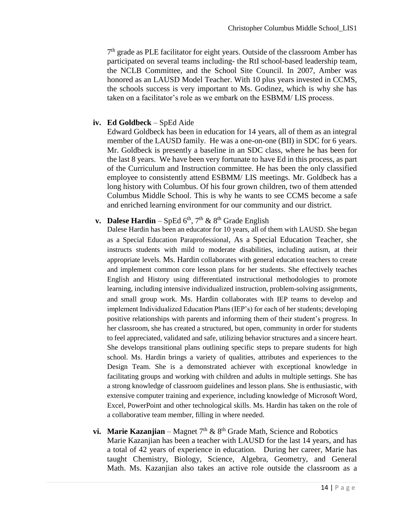7<sup>th</sup> grade as PLE facilitator for eight years. Outside of the classroom Amber has participated on several teams including- the RtI school-based leadership team, the NCLB Committee, and the School Site Council. In 2007, Amber was honored as an LAUSD Model Teacher. With 10 plus years invested in CCMS, the schools success is very important to Ms. Godinez, which is why she has taken on a facilitator's role as we embark on the ESBMM/ LIS process.

#### **iv. Ed Goldbeck** – SpEd Aide

Edward Goldbeck has been in education for 14 years, all of them as an integral member of the LAUSD family. He was a one-on-one (BII) in SDC for 6 years. Mr. Goldbeck is presently a baseline in an SDC class, where he has been for the last 8 years. We have been very fortunate to have Ed in this process, as part of the Curriculum and Instruction committee. He has been the only classified employee to consistently attend ESBMM/ LIS meetings. Mr. Goldbeck has a long history with Columbus. Of his four grown children, two of them attended Columbus Middle School. This is why he wants to see CCMS become a safe and enriched learning environment for our community and our district.

## **v. Dalese Hardin** – SpEd  $6^{th}$ ,  $7^{th}$  &  $8^{th}$  Grade English

Dalese Hardin has been an educator for 10 years, all of them with LAUSD. She began as a Special Education Paraprofessional, As a Special Education Teacher, she instructs students with mild to moderate disabilities, including autism, at their appropriate levels. Ms. Hardin collaborates with general education teachers to create and implement common core lesson plans for her students. She effectively teaches English and History using differentiated instructional methodologies to promote learning, including intensive individualized instruction, problem-solving assignments, and small group work. Ms. Hardin collaborates with IEP teams to develop and implement Individualized Education Plans (IEP's) for each of her students; developing positive relationships with parents and informing them of their student's progress. In her classroom, she has created a structured, but open, community in order for students to feel appreciated, validated and safe, utilizing behavior structures and a sincere heart. She develops transitional plans outlining specific steps to prepare students for high school. Ms. Hardin brings a variety of qualities, attributes and experiences to the Design Team. She is a demonstrated achiever with exceptional knowledge in facilitating groups and working with children and adults in multiple settings. She has a strong knowledge of classroom guidelines and lesson plans. She is enthusiastic, with extensive computer training and experience, including knowledge of Microsoft Word, Excel, PowerPoint and other technological skills. Ms. Hardin has taken on the role of a collaborative team member, filling in where needed.

#### **vi.** Marie Kazanjian – Magnet  $7<sup>th</sup>$  &  $8<sup>th</sup>$  Grade Math, Science and Robotics

Marie Kazanjian has been a teacher with LAUSD for the last 14 years, and has a total of 42 years of experience in education. During her career, Marie has taught Chemistry, Biology, Science, Algebra, Geometry, and General Math. Ms. Kazanjian also takes an active role outside the classroom as a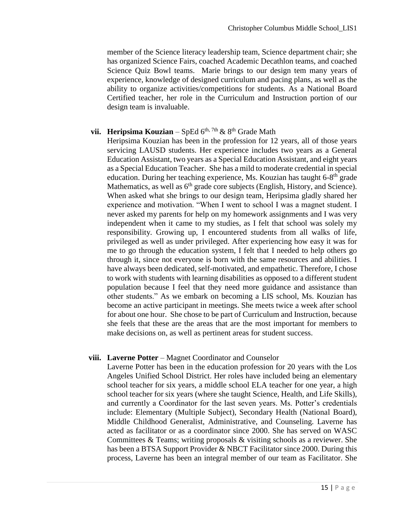member of the Science literacy leadership team, Science department chair; she has organized Science Fairs, coached Academic Decathlon teams, and coached Science Quiz Bowl teams. Marie brings to our design tem many years of experience, knowledge of designed curriculum and pacing plans, as well as the ability to organize activities/competitions for students. As a National Board Certified teacher, her role in the Curriculum and Instruction portion of our design team is invaluable.

#### **vii. Heripsima Kouzian** – SpEd  $6^{th}$ , 7th  $\&$  8<sup>th</sup> Grade Math

Heripsima Kouzian has been in the profession for 12 years, all of those years servicing LAUSD students. Her experience includes two years as a General Education Assistant, two years as a Special Education Assistant, and eight years as a Special Education Teacher. She has a mild to moderate credential in special education. During her teaching experience, Ms. Kouzian has taught 6-8<sup>th</sup> grade Mathematics, as well as  $6<sup>th</sup>$  grade core subjects (English, History, and Science). When asked what she brings to our design team, Heripsima gladly shared her experience and motivation. "When I went to school I was a magnet student. I never asked my parents for help on my homework assignments and I was very independent when it came to my studies, as I felt that school was solely my responsibility. Growing up, I encountered students from all walks of life, privileged as well as under privileged. After experiencing how easy it was for me to go through the education system, I felt that I needed to help others go through it, since not everyone is born with the same resources and abilities. I have always been dedicated, self-motivated, and empathetic. Therefore, I chose to work with students with learning disabilities as opposed to a different student population because I feel that they need more guidance and assistance than other students." As we embark on becoming a LIS school, Ms. Kouzian has become an active participant in meetings. She meets twice a week after school for about one hour. She chose to be part of Curriculum and Instruction, because she feels that these are the areas that are the most important for members to make decisions on, as well as pertinent areas for student success.

#### **viii. Laverne Potter** – Magnet Coordinator and Counselor

Laverne Potter has been in the education profession for 20 years with the Los Angeles Unified School District. Her roles have included being an elementary school teacher for six years, a middle school ELA teacher for one year, a high school teacher for six years (where she taught Science, Health, and Life Skills), and currently a Coordinator for the last seven years. Ms. Potter's credentials include: Elementary (Multiple Subject), Secondary Health (National Board), Middle Childhood Generalist, Administrative, and Counseling. Laverne has acted as facilitator or as a coordinator since 2000. She has served on WASC Committees & Teams; writing proposals & visiting schools as a reviewer. She has been a BTSA Support Provider & NBCT Facilitator since 2000. During this process, Laverne has been an integral member of our team as Facilitator. She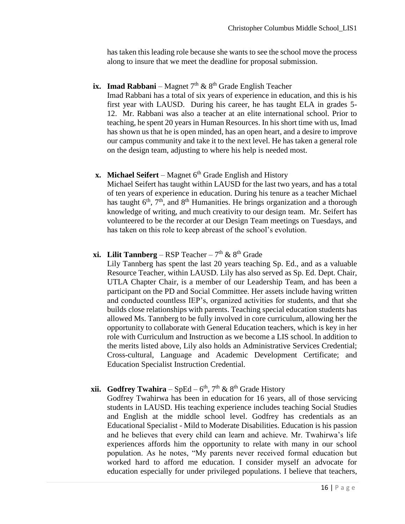has taken this leading role because she wants to see the school move the process along to insure that we meet the deadline for proposal submission.

#### **ix. Imad Rabbani** – Magnet  $7<sup>th</sup>$  &  $8<sup>th</sup>$  Grade English Teacher

Imad Rabbani has a total of six years of experience in education, and this is his first year with LAUSD. During his career, he has taught ELA in grades 5- 12. Mr. Rabbani was also a teacher at an elite international school. Prior to teaching, he spent 20 years in Human Resources. In his short time with us, Imad has shown us that he is open minded, has an open heart, and a desire to improve our campus community and take it to the next level. He has taken a general role on the design team, adjusting to where his help is needed most.

#### **x. Michael Seifert** – Magnet  $6<sup>th</sup>$  Grade English and History

Michael Seifert has taught within LAUSD for the last two years, and has a total of ten years of experience in education. During his tenure as a teacher Michael has taught  $6<sup>th</sup>$ ,  $7<sup>th</sup>$ , and  $8<sup>th</sup>$  Humanities. He brings organization and a thorough knowledge of writing, and much creativity to our design team. Mr. Seifert has volunteered to be the recorder at our Design Team meetings on Tuesdays, and has taken on this role to keep abreast of the school's evolution.

#### **xi.** Lilit Tannberg – RSP Teacher –  $7<sup>th</sup>$  &  $8<sup>th</sup>$  Grade

Lily Tannberg has spent the last 20 years teaching Sp. Ed., and as a valuable Resource Teacher, within LAUSD. Lily has also served as Sp. Ed. Dept. Chair, UTLA Chapter Chair, is a member of our Leadership Team, and has been a participant on the PD and Social Committee. Her assets include having written and conducted countless IEP's, organized activities for students, and that she builds close relationships with parents. Teaching special education students has allowed Ms. Tannberg to be fully involved in core curriculum, allowing her the opportunity to collaborate with General Education teachers, which is key in her role with Curriculum and Instruction as we become a LIS school. In addition to the merits listed above, Lily also holds an Administrative Services Credential; Cross-cultural, Language and Academic Development Certificate; and Education Specialist Instruction Credential.

#### **xii. Godfrey Twahira** – SpEd –  $6<sup>th</sup>$ , 7<sup>th</sup> & 8<sup>th</sup> Grade History

Godfrey Twahirwa has been in education for 16 years, all of those servicing students in LAUSD. His teaching experience includes teaching Social Studies and English at the middle school level. Godfrey has credentials as an Educational Specialist - Mild to Moderate Disabilities. Education is his passion and he believes that every child can learn and achieve. Mr. Twahirwa's life experiences affords him the opportunity to relate with many in our school population. As he notes, "My parents never received formal education but worked hard to afford me education. I consider myself an advocate for education especially for under privileged populations. I believe that teachers,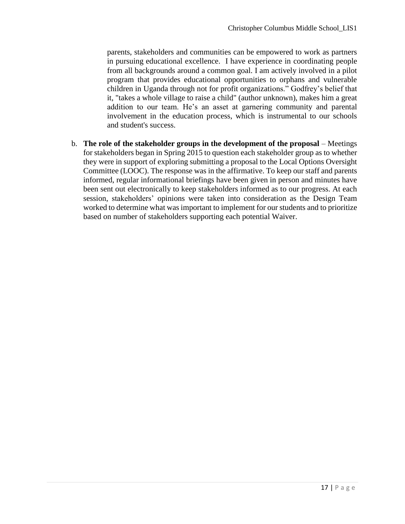parents, stakeholders and communities can be empowered to work as partners in pursuing educational excellence. I have experience in coordinating people from all backgrounds around a common goal. I am actively involved in a pilot program that provides educational opportunities to orphans and vulnerable children in Uganda through not for profit organizations." Godfrey's belief that it, "takes a whole village to raise a child" (author unknown), makes him a great addition to our team. He's an asset at garnering community and parental involvement in the education process, which is instrumental to our schools and student's success.

b. **The role of the stakeholder groups in the development of the proposal** – Meetings for stakeholders began in Spring 2015 to question each stakeholder group as to whether they were in support of exploring submitting a proposal to the Local Options Oversight Committee (LOOC). The response was in the affirmative. To keep our staff and parents informed, regular informational briefings have been given in person and minutes have been sent out electronically to keep stakeholders informed as to our progress. At each session, stakeholders' opinions were taken into consideration as the Design Team worked to determine what was important to implement for our students and to prioritize based on number of stakeholders supporting each potential Waiver.